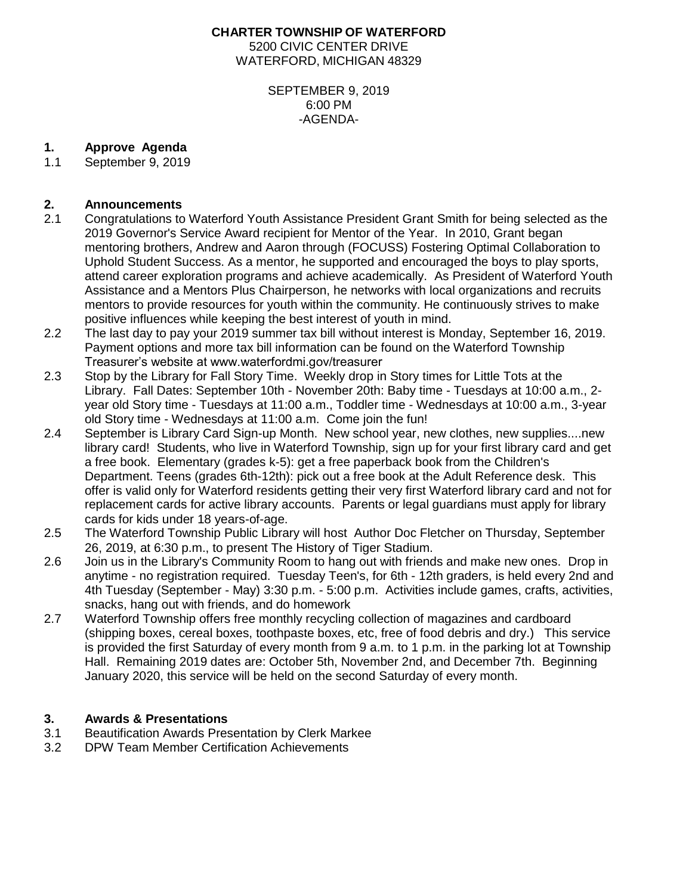### **CHARTER TOWNSHIP OF WATERFORD** 5200 CIVIC CENTER DRIVE WATERFORD, MICHIGAN 48329

#### SEPTEMBER 9, 2019 6:00 PM -AGENDA-

## **1. Approve Agenda**

1.1 September 9, 2019

# **2. Announcements**

- 2.1 Congratulations to Waterford Youth Assistance President Grant Smith for being selected as the 2019 Governor's Service Award recipient for Mentor of the Year. In 2010, Grant began mentoring brothers, Andrew and Aaron through (FOCUSS) Fostering Optimal Collaboration to Uphold Student Success. As a mentor, he supported and encouraged the boys to play sports, attend career exploration programs and achieve academically. As President of Waterford Youth Assistance and a Mentors Plus Chairperson, he networks with local organizations and recruits mentors to provide resources for youth within the community. He continuously strives to make positive influences while keeping the best interest of youth in mind.
- 2.2 The last day to pay your 2019 summer tax bill without interest is Monday, September 16, 2019. Payment options and more tax bill information can be found on the Waterford Township Treasurer's website at www.waterfordmi.gov/treasurer
- 2.3 Stop by the Library for Fall Story Time. Weekly drop in Story times for Little Tots at the Library. Fall Dates: September 10th - November 20th: Baby time - Tuesdays at 10:00 a.m., 2 year old Story time - Tuesdays at 11:00 a.m., Toddler time - Wednesdays at 10:00 a.m., 3-year old Story time - Wednesdays at 11:00 a.m. Come join the fun!
- 2.4 September is Library Card Sign-up Month. New school year, new clothes, new supplies....new library card! Students, who live in Waterford Township, sign up for your first library card and get a free book. Elementary (grades k-5): get a free paperback book from the Children's Department. Teens (grades 6th-12th): pick out a free book at the Adult Reference desk. This offer is valid only for Waterford residents getting their very first Waterford library card and not for replacement cards for active library accounts. Parents or legal guardians must apply for library cards for kids under 18 years-of-age.
- 2.5 The Waterford Township Public Library will host Author Doc Fletcher on Thursday, September 26, 2019, at 6:30 p.m., to present The History of Tiger Stadium.
- 2.6 Join us in the Library's Community Room to hang out with friends and make new ones. Drop in anytime - no registration required. Tuesday Teen's, for 6th - 12th graders, is held every 2nd and 4th Tuesday (September - May) 3:30 p.m. - 5:00 p.m. Activities include games, crafts, activities, snacks, hang out with friends, and do homework
- 2.7 Waterford Township offers free monthly recycling collection of magazines and cardboard (shipping boxes, cereal boxes, toothpaste boxes, etc, free of food debris and dry.) This service is provided the first Saturday of every month from 9 a.m. to 1 p.m. in the parking lot at Township Hall. Remaining 2019 dates are: October 5th, November 2nd, and December 7th.Beginning January 2020, this service will be held on the second Saturday of every month.

### **3. Awards & Presentations**

- 3.1 Beautification Awards Presentation by Clerk Markee
- 3.2 DPW Team Member Certification Achievements